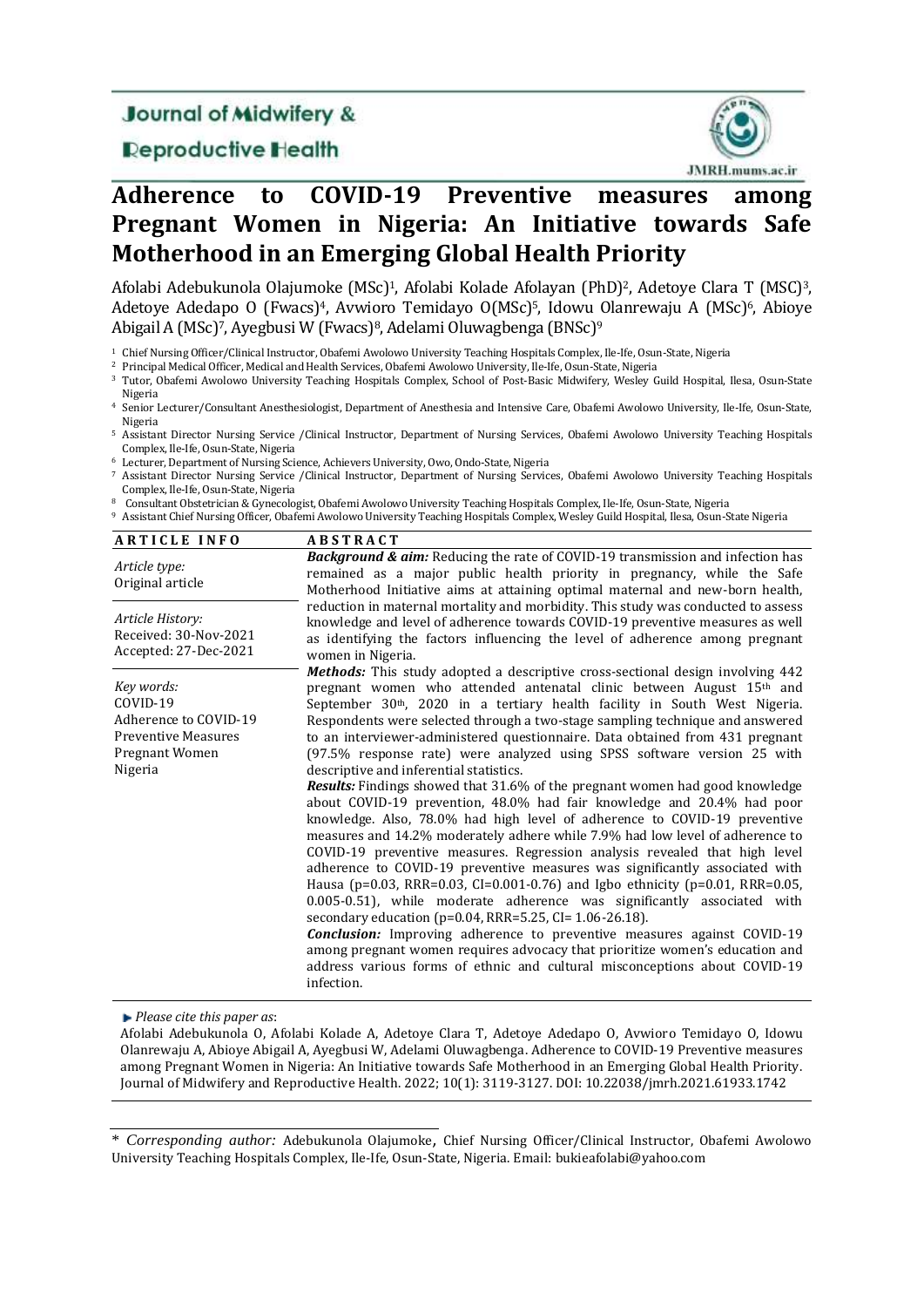# **Journal of Midwifery &**

## **Deproductive Health**



# **Adherence to COVID-19 Preventive measures among Pregnant Women in Nigeria: An Initiative towards Safe Motherhood in an Emerging Global Health Priority**

Afolabi Adebukunola Olajumoke (MSc)1, Afolabi Kolade Afolayan (PhD)2, Adetoye Clara T (MSC)3, Adetoye Adedapo O (Fwacs)<sup>4</sup>, Avwioro Temidayo O(MSc)<sup>5</sup>, Idowu Olanrewaju A (MSc)<sup>6</sup>, Abioye Abigail A (MSc)7, Ayegbusi W (Fwacs)8, Adelami Oluwagbenga (BNSc)<sup>9</sup>

<sup>2</sup> Principal Medical Officer, Medical and Health Services, Obafemi Awolowo University, Ile-Ife, Osun-State, Nigeria

<sup>3</sup> Tutor, Obafemi Awolowo University Teaching Hospitals Complex, School of Post-Basic Midwifery, Wesley Guild Hospital, Ilesa, Osun-State Nigeria

<sup>4</sup> Senior Lecturer/Consultant Anesthesiologist, Department of Anesthesia and Intensive Care, Obafemi Awolowo University, Ile-Ife, Osun-State, Nigeria

<sup>5</sup> Assistant Director Nursing Service /Clinical Instructor, Department of Nursing Services, Obafemi Awolowo University Teaching Hospitals Complex, Ile-Ife, Osun-State, Nigeria

<sup>6</sup> Lecturer, Department of Nursing Science, Achievers University, Owo, Ondo-State, Nigeria

<sup>7</sup> Assistant Director Nursing Service /Clinical Instructor, Department of Nursing Services, Obafemi Awolowo University Teaching Hospitals Complex, Ile-Ife, Osun-State, Nigeria

<sup>8</sup> Consultant Obstetrician & Gynecologist, Obafemi Awolowo University Teaching Hospitals Complex, Ile-Ife, Osun-State, Nigeria

<sup>9</sup> Assistant Chief Nursing Officer, Obafemi Awolowo University Teaching Hospitals Complex, Wesley Guild Hospital, Ilesa, Osun-State Nigeria

| <b>ARTICLE INFO</b>                                                                                        | <b>ABSTRACT</b>                                                                                                                                                                                                                                                                                                                                                                                                                                                                                                                                                                                                                                                                                                                                                                                                                                                                                                                                                                                                                                                                                                                                                                                                                                                                                                                                                                                                                                                                                                                                  |  |  |  |
|------------------------------------------------------------------------------------------------------------|--------------------------------------------------------------------------------------------------------------------------------------------------------------------------------------------------------------------------------------------------------------------------------------------------------------------------------------------------------------------------------------------------------------------------------------------------------------------------------------------------------------------------------------------------------------------------------------------------------------------------------------------------------------------------------------------------------------------------------------------------------------------------------------------------------------------------------------------------------------------------------------------------------------------------------------------------------------------------------------------------------------------------------------------------------------------------------------------------------------------------------------------------------------------------------------------------------------------------------------------------------------------------------------------------------------------------------------------------------------------------------------------------------------------------------------------------------------------------------------------------------------------------------------------------|--|--|--|
| Article type:<br>Original article                                                                          | <b>Background &amp; aim:</b> Reducing the rate of COVID-19 transmission and infection has<br>remained as a major public health priority in pregnancy, while the Safe<br>Motherhood Initiative aims at attaining optimal maternal and new-born health,                                                                                                                                                                                                                                                                                                                                                                                                                                                                                                                                                                                                                                                                                                                                                                                                                                                                                                                                                                                                                                                                                                                                                                                                                                                                                            |  |  |  |
| Article History:<br>Received: 30-Nov-2021<br>Accepted: 27-Dec-2021                                         | reduction in maternal mortality and morbidity. This study was conducted to assess<br>knowledge and level of adherence towards COVID-19 preventive measures as well<br>as identifying the factors influencing the level of adherence among pregnant<br>women in Nigeria.                                                                                                                                                                                                                                                                                                                                                                                                                                                                                                                                                                                                                                                                                                                                                                                                                                                                                                                                                                                                                                                                                                                                                                                                                                                                          |  |  |  |
| Key words:<br>COVID-19<br>Adherence to COVID-19<br><b>Preventive Measures</b><br>Pregnant Women<br>Nigeria | <b>Methods:</b> This study adopted a descriptive cross-sectional design involving 442<br>pregnant women who attended antenatal clinic between August 15 <sup>th</sup> and<br>September 30 <sup>th</sup> , 2020 in a tertiary health facility in South West Nigeria.<br>Respondents were selected through a two-stage sampling technique and answered<br>to an interviewer-administered questionnaire. Data obtained from 431 pregnant<br>(97.5% response rate) were analyzed using SPSS software version 25 with<br>descriptive and inferential statistics.<br><b>Results:</b> Findings showed that 31.6% of the pregnant women had good knowledge<br>about COVID-19 prevention, 48.0% had fair knowledge and 20.4% had poor<br>knowledge. Also, 78.0% had high level of adherence to COVID-19 preventive<br>measures and 14.2% moderately adhere while 7.9% had low level of adherence to<br>COVID-19 preventive measures. Regression analysis revealed that high level<br>adherence to COVID-19 preventive measures was significantly associated with<br>Hausa (p=0.03, RRR=0.03, CI=0.001-0.76) and Igbo ethnicity (p=0.01, RRR=0.05,<br>0.005-0.51), while moderate adherence was significantly associated with<br>secondary education ( $p=0.04$ , RRR=5.25, CI= 1.06-26.18).<br><b>Conclusion:</b> Improving adherence to preventive measures against COVID-19<br>among pregnant women requires advocacy that prioritize women's education and<br>address various forms of ethnic and cultural misconceptions about COVID-19<br>infection. |  |  |  |

*Please cite this paper as*:

Afolabi Adebukunola O, Afolabi Kolade A, Adetoye Clara T, Adetoye Adedapo O, Avwioro Temidayo O, Idowu Olanrewaju A, Abioye Abigail A, Ayegbusi W, Adelami Oluwagbenga. Adherence to COVID-19 Preventive measures among Pregnant Women in Nigeria: An Initiative towards Safe Motherhood in an Emerging Global Health Priority. Journal of Midwifery and Reproductive Health. 2022; 10(1): 3119-3127. DOI: 10.22038/jmrh.2021.61933.1742

<sup>1</sup> Chief Nursing Officer/Clinical Instructor, Obafemi Awolowo University Teaching Hospitals Complex, Ile-Ife, Osun-State, Nigeria

<sup>\*</sup> *Corresponding author:* Adebukunola Olajumoke, Chief Nursing Officer/Clinical Instructor, Obafemi Awolowo University Teaching Hospitals Complex, Ile-Ife, Osun-State, Nigeria. Email: bukieafolabi@yahoo.com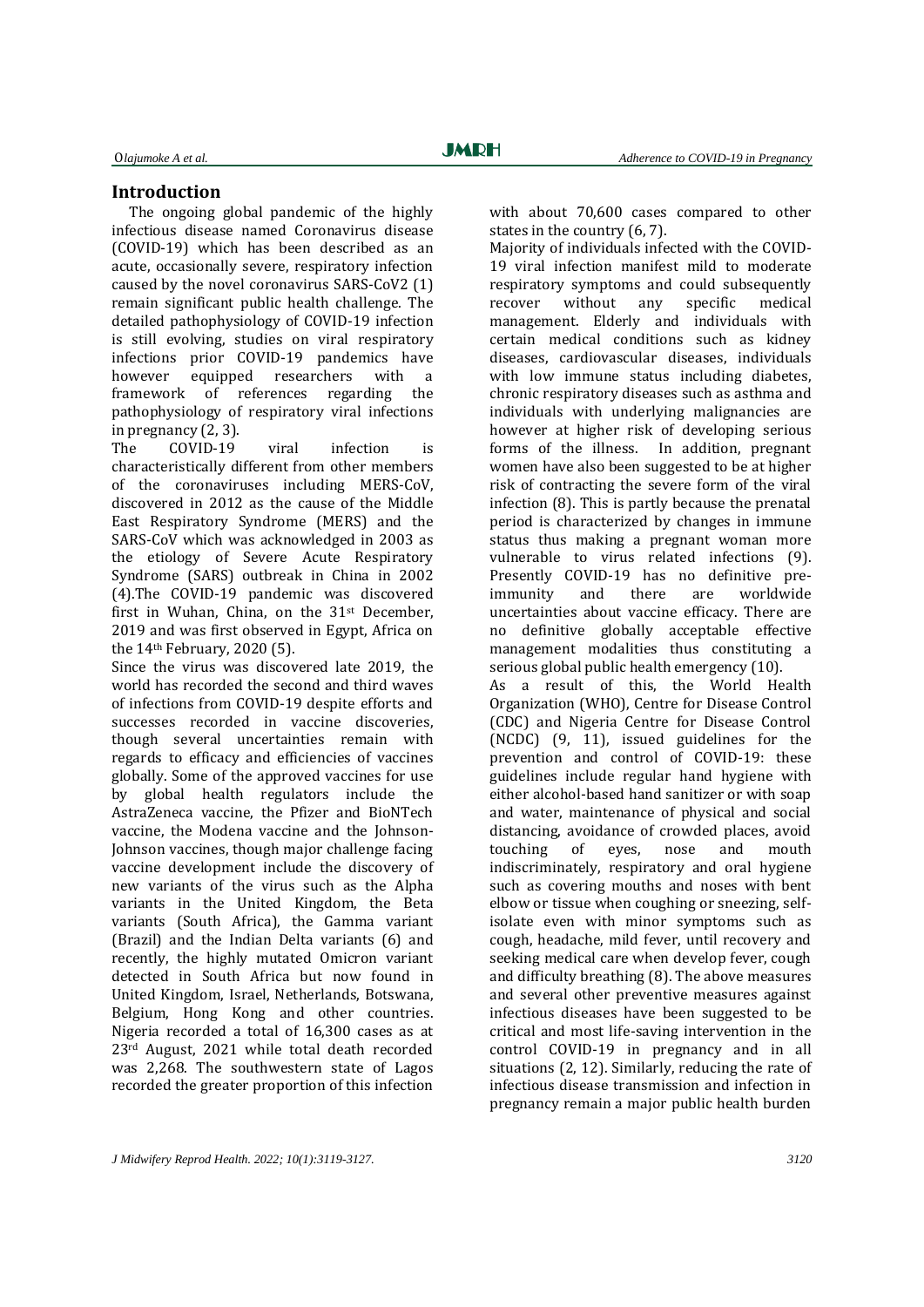#### **Introduction**

The ongoing global pandemic of the highly infectious disease named Coronavirus disease (COVID-19) which has been described as an acute, occasionally severe, respiratory infection caused by the novel coronavirus SARS-CoV2 (1) remain significant public health challenge. The detailed pathophysiology of COVID-19 infection is still evolving, studies on viral respiratory infections prior COVID-19 pandemics have however equipped researchers with a framework of references regarding the pathophysiology of respiratory viral infections in pregnancy (2, 3).

The COVID-19 viral infection is characteristically different from other members of the coronaviruses including MERS-CoV, discovered in 2012 as the cause of the Middle East Respiratory Syndrome (MERS) and the SARS-CoV which was acknowledged in 2003 as the etiology of Severe Acute Respiratory Syndrome (SARS) outbreak in China in 2002 (4).The COVID-19 pandemic was discovered first in Wuhan, China, on the 31st December, 2019 and was first observed in Egypt, Africa on the 14th February, 2020 (5).

Since the virus was discovered late 2019, the world has recorded the second and third waves of infections from COVID-19 despite efforts and successes recorded in vaccine discoveries, though several uncertainties remain with regards to efficacy and efficiencies of vaccines globally. Some of the approved vaccines for use by global health regulators include the AstraZeneca vaccine, the Pfizer and BioNTech vaccine, the Modena vaccine and the Johnson-Johnson vaccines, though major challenge facing vaccine development include the discovery of new variants of the virus such as the Alpha variants in the United Kingdom, the Beta variants (South Africa), the Gamma variant (Brazil) and the Indian Delta variants (6) and recently, the highly mutated Omicron variant detected in South Africa but now found in United Kingdom, Israel, Netherlands, Botswana, Belgium, Hong Kong and other countries. Nigeria recorded a total of 16,300 cases as at 23rd August, 2021 while total death recorded was 2,268. The southwestern state of Lagos recorded the greater proportion of this infection

with about 70,600 cases compared to other states in the country (6, 7).

Majority of individuals infected with the COVID-19 viral infection manifest mild to moderate respiratory symptoms and could subsequently recover without any specific medical management. Elderly and individuals with certain medical conditions such as kidney diseases, cardiovascular diseases, individuals with low immune status including diabetes, chronic respiratory diseases such as asthma and individuals with underlying malignancies are however at higher risk of developing serious forms of the illness. In addition, pregnant women have also been suggested to be at higher risk of contracting the severe form of the viral infection (8). This is partly because the prenatal period is characterized by changes in immune status thus making a pregnant woman more vulnerable to virus related infections (9). Presently COVID-19 has no definitive preimmunity and there are worldwide uncertainties about vaccine efficacy. There are no definitive globally acceptable effective management modalities thus constituting a serious global public health emergency (10). As a result of this, the World Health Organization (WHO), Centre for Disease Control (CDC) and Nigeria Centre for Disease Control

(NCDC) (9, 11), issued guidelines for the prevention and control of COVID-19: these guidelines include regular hand hygiene with either alcohol-based hand sanitizer or with soap and water, maintenance of physical and social distancing, avoidance of crowded places, avoid touching of eyes, nose and mouth indiscriminately, respiratory and oral hygiene such as covering mouths and noses with bent elbow or tissue when coughing or sneezing, selfisolate even with minor symptoms such as cough, headache, mild fever, until recovery and seeking medical care when develop fever, cough and difficulty breathing (8). The above measures and several other preventive measures against infectious diseases have been suggested to be critical and most life-saving intervention in the control COVID-19 in pregnancy and in all situations (2, 12). Similarly, reducing the rate of infectious disease transmission and infection in pregnancy remain a major public health burden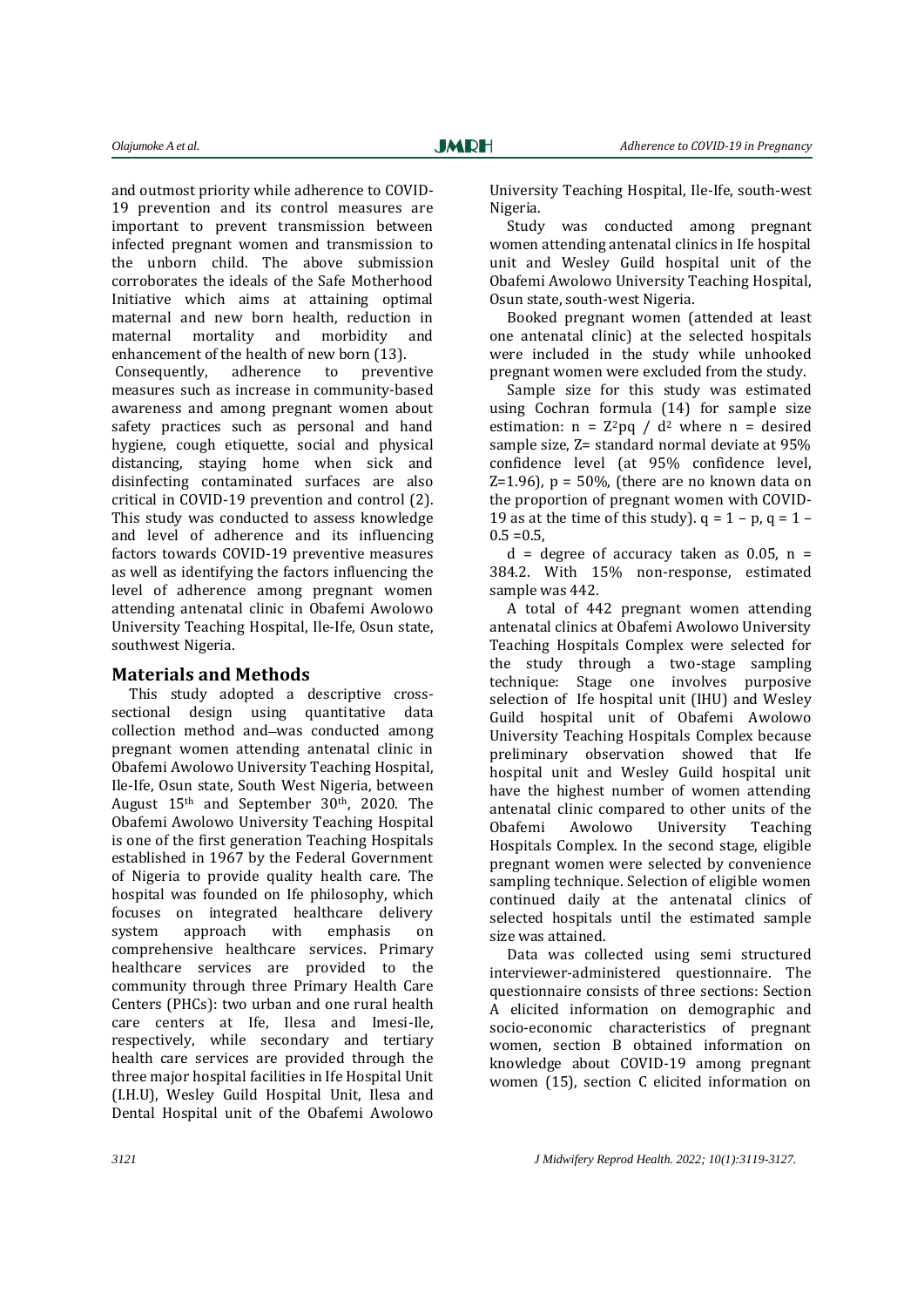and outmost priority while adherence to COVID-19 prevention and its control measures are important to prevent transmission between infected pregnant women and transmission to the unborn child. The above submission corroborates the ideals of the Safe Motherhood Initiative which aims at attaining optimal maternal and new born health, reduction in maternal mortality and morbidity and enhancement of the health of new born (13).

Consequently, adherence to preventive measures such as increase in community-based awareness and among pregnant women about safety practices such as personal and hand hygiene, cough etiquette, social and physical distancing, staying home when sick and disinfecting contaminated surfaces are also critical in COVID-19 prevention and control (2). This study was conducted to assess knowledge and level of adherence and its influencing factors towards COVID-19 preventive measures as well as identifying the factors influencing the level of adherence among pregnant women attending antenatal clinic in Obafemi Awolowo University Teaching Hospital, Ile-Ife, Osun state, southwest Nigeria.

#### **Materials and Methods**

This study adopted a descriptive crosssectional design using quantitative data collection method and-was conducted among pregnant women attending antenatal clinic in Obafemi Awolowo University Teaching Hospital, Ile-Ife, Osun state, South West Nigeria, between August 15<sup>th</sup> and September 30<sup>th</sup>, 2020. The Obafemi Awolowo University Teaching Hospital is one of the first generation Teaching Hospitals established in 1967 by the Federal Government of Nigeria to provide quality health care. The hospital was founded on Ife philosophy, which focuses on integrated healthcare delivery system approach with emphasis on comprehensive healthcare services. Primary healthcare services are provided to the community through three Primary Health Care Centers (PHCs): two urban and one rural health care centers at Ife, Ilesa and Imesi-Ile, respectively, while secondary and tertiary health care services are provided through the three major hospital facilities in Ife Hospital Unit (I.H.U), Wesley Guild Hospital Unit, Ilesa and Dental Hospital unit of the Obafemi Awolowo

University Teaching Hospital, Ile-Ife, south-west Nigeria.

Study was conducted among pregnant women attending antenatal clinics in Ife hospital unit and Wesley Guild hospital unit of the Obafemi Awolowo University Teaching Hospital, Osun state, south-west Nigeria.

Booked pregnant women (attended at least one antenatal clinic) at the selected hospitals were included in the study while unhooked pregnant women were excluded from the study.

Sample size for this study was estimated using Cochran formula (14) for sample size estimation:  $n = Z^2pq / d^2$  where  $n =$  desired sample size, Z= standard normal deviate at 95% confidence level (at 95% confidence level,  $Z=1.96$ ),  $p = 50\%$ , (there are no known data on the proportion of pregnant women with COVID-19 as at the time of this study).  $q = 1 - p$ ,  $q = 1 0.5 = 0.5$ 

 $d = deg$ ree of accuracy taken as 0.05, n = 384.2. With 15% non-response, estimated sample was 442.

A total of 442 pregnant women attending antenatal clinics at Obafemi Awolowo University Teaching Hospitals Complex were selected for the study through a two-stage sampling technique: Stage one involves purposive selection of Ife hospital unit (IHU) and Wesley Guild hospital unit of Obafemi Awolowo University Teaching Hospitals Complex because preliminary observation showed that Ife hospital unit and Wesley Guild hospital unit have the highest number of women attending antenatal clinic compared to other units of the Obafemi Awolowo University Teaching Hospitals Complex. In the second stage, eligible pregnant women were selected by convenience sampling technique. Selection of eligible women continued daily at the antenatal clinics of selected hospitals until the estimated sample size was attained.

Data was collected using semi structured interviewer-administered questionnaire. The questionnaire consists of three sections: Section A elicited information on demographic and socio-economic characteristics of pregnant women, section B obtained information on knowledge about COVID-19 among pregnant women (15), section C elicited information on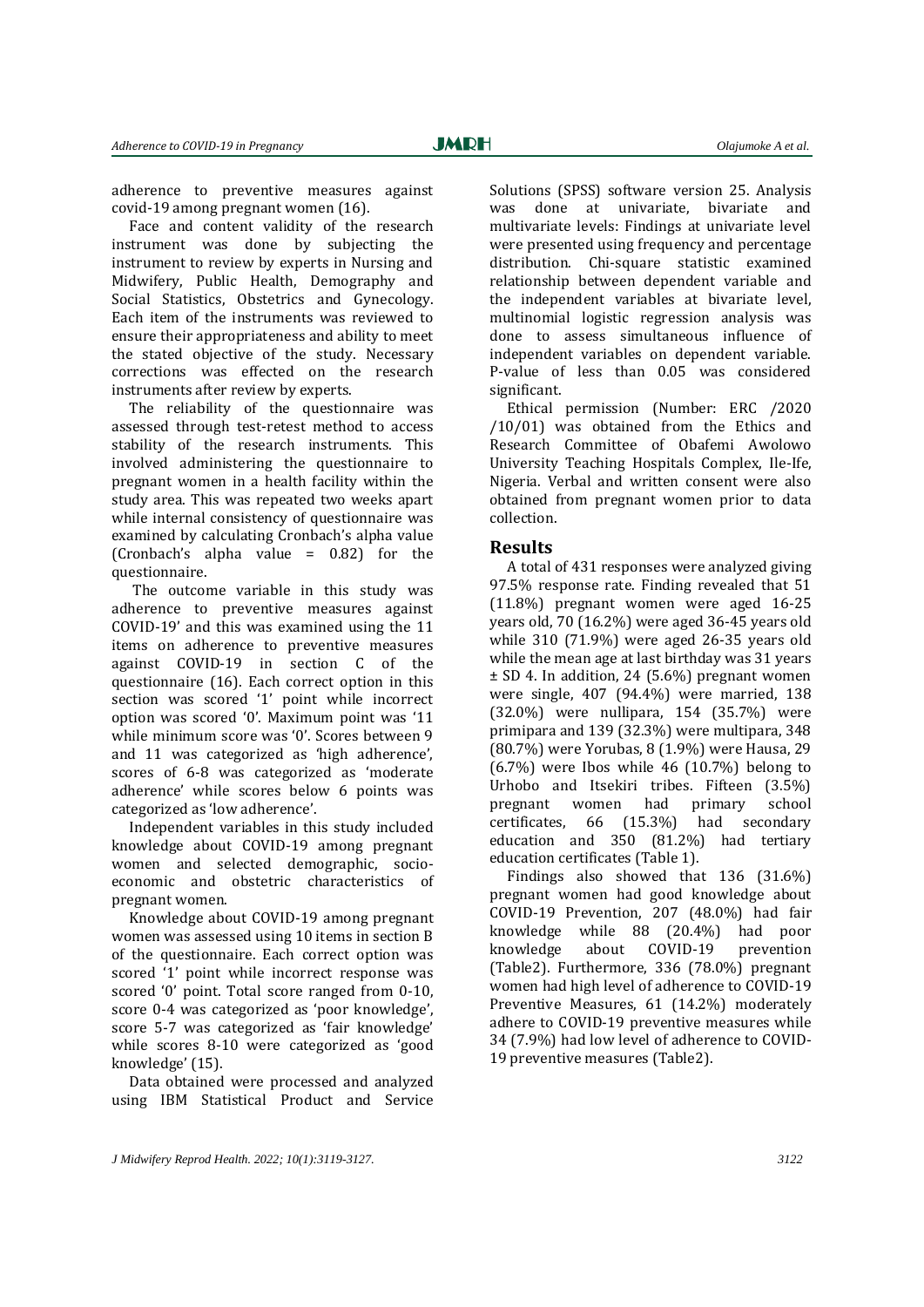adherence to preventive measures against covid-19 among pregnant women (16).

Face and content validity of the research instrument was done by subjecting the instrument to review by experts in Nursing and Midwifery, Public Health, Demography and Social Statistics, Obstetrics and Gynecology. Each item of the instruments was reviewed to ensure their appropriateness and ability to meet the stated objective of the study. Necessary corrections was effected on the research instruments after review by experts.

The reliability of the questionnaire was assessed through test-retest method to access stability of the research instruments. This involved administering the questionnaire to pregnant women in a health facility within the study area. This was repeated two weeks apart while internal consistency of questionnaire was examined by calculating Cronbach's alpha value (Cronbach's alpha value  $= 0.82$ ) for the questionnaire.

The outcome variable in this study was adherence to preventive measures against COVID-19' and this was examined using the 11 items on adherence to preventive measures against COVID-19 in section C of the questionnaire (16). Each correct option in this section was scored '1' point while incorrect option was scored '0'. Maximum point was '11 while minimum score was '0'. Scores between 9 and 11 was categorized as 'high adherence', scores of 6-8 was categorized as 'moderate adherence' while scores below 6 points was categorized as 'low adherence'.

Independent variables in this study included knowledge about COVID-19 among pregnant women and selected demographic, socioeconomic and obstetric characteristics of pregnant women.

Knowledge about COVID-19 among pregnant women was assessed using 10 items in section B of the questionnaire. Each correct option was scored '1' point while incorrect response was scored '0' point. Total score ranged from 0-10, score 0-4 was categorized as 'poor knowledge', score 5-7 was categorized as 'fair knowledge' while scores 8-10 were categorized as 'good knowledge' (15).

Data obtained were processed and analyzed using IBM Statistical Product and Service

Solutions (SPSS) software version 25. Analysis was done at univariate, bivariate and multivariate levels: Findings at univariate level were presented using frequency and percentage distribution. Chi-square statistic examined relationship between dependent variable and the independent variables at bivariate level, multinomial logistic regression analysis was done to assess simultaneous influence of independent variables on dependent variable. P-value of less than 0.05 was considered significant.

Ethical permission (Number: ERC /2020 /10/01) was obtained from the Ethics and Research Committee of Obafemi Awolowo University Teaching Hospitals Complex, Ile-Ife, Nigeria. Verbal and written consent were also obtained from pregnant women prior to data collection.

#### **Results**

A total of 431 responses were analyzed giving 97.5% response rate. Finding revealed that 51 (11.8%) pregnant women were aged 16-25 years old, 70 (16.2%) were aged 36-45 years old while 310 (71.9%) were aged 26-35 years old while the mean age at last birthday was 31 years ± SD 4. In addition, 24 (5.6%) pregnant women were single, 407 (94.4%) were married, 138 (32.0%) were nullipara, 154 (35.7%) were primipara and 139 (32.3%) were multipara, 348 (80.7%) were Yorubas, 8 (1.9%) were Hausa, 29  $(6.7%)$  were Ibos while 46  $(10.7%)$  belong to Urhobo and Itsekiri tribes. Fifteen (3.5%) pregnant women had primary school certificates, 66 (15.3%) had secondary education and 350 (81.2%) had tertiary education certificates (Table 1).

Findings also showed that 136 (31.6%) pregnant women had good knowledge about COVID-19 Prevention, 207 (48.0%) had fair knowledge while 88 (20.4%) had poor knowledge about COVID-19 prevention (Table2). Furthermore, 336 (78.0%) pregnant women had high level of adherence to COVID-19 Preventive Measures, 61 (14.2%) moderately adhere to COVID-19 preventive measures while 34 (7.9%) had low level of adherence to COVID-19 preventive measures (Table2).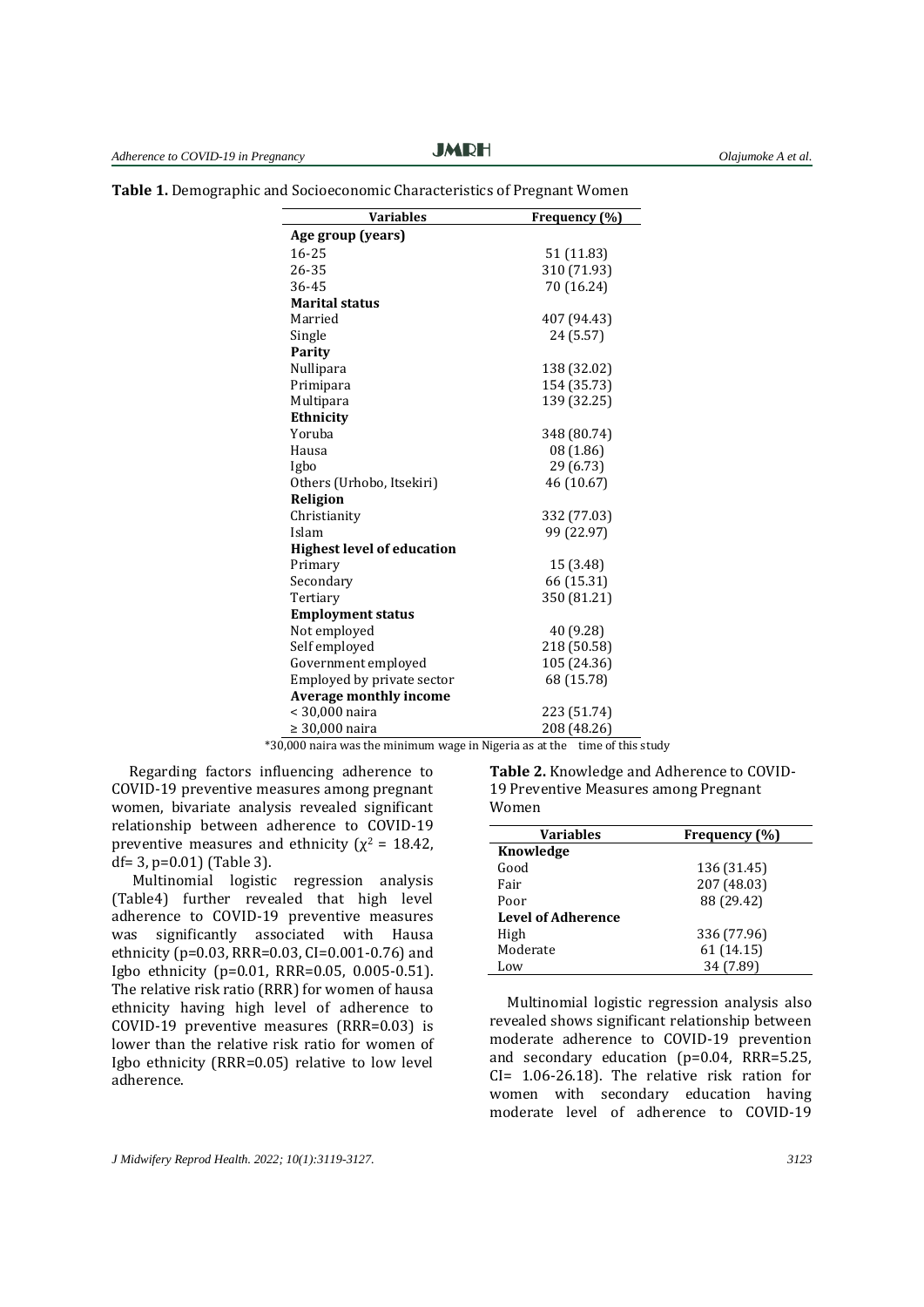| <b>Variables</b>                  | Frequency (%) |
|-----------------------------------|---------------|
| Age group (years)                 |               |
| 16-25                             | 51 (11.83)    |
| 26-35                             | 310 (71.93)   |
| 36-45                             | 70 (16.24)    |
| <b>Marital status</b>             |               |
| Married                           | 407 (94.43)   |
| Single                            | 24 (5.57)     |
| Parity                            |               |
| Nullipara                         | 138 (32.02)   |
| Primipara                         | 154 (35.73)   |
| Multipara                         | 139 (32.25)   |
| Ethnicity                         |               |
| Yoruba                            | 348 (80.74)   |
| Hausa                             | 08 (1.86)     |
| Igbo                              | 29 (6.73)     |
| Others (Urhobo, Itsekiri)         | 46 (10.67)    |
| Religion                          |               |
| Christianity                      | 332 (77.03)   |
| Islam                             | 99 (22.97)    |
| <b>Highest level of education</b> |               |
| Primary                           | 15 (3.48)     |
| Secondary                         | 66 (15.31)    |
| Tertiary                          | 350 (81.21)   |
| <b>Employment status</b>          |               |
| Not employed                      | 40 (9.28)     |
| Self employed                     | 218 (50.58)   |
| Government employed               | 105 (24.36)   |
| Employed by private sector        | 68 (15.78)    |
| <b>Average monthly income</b>     |               |
| < 30,000 naira                    | 223 (51.74)   |
| $\geq 30,000$ naira               | 208 (48.26)   |

#### **Table 1.** Demographic and Socioeconomic Characteristics of Pregnant Women

\*30,000 naira was the minimum wage in Nigeria as at the time of this study

Regarding factors influencing adherence to COVID-19 preventive measures among pregnant women, bivariate analysis revealed significant relationship between adherence to COVID-19 preventive measures and ethnicity ( $\chi^2$  = 18.42, df= 3, p=0.01) (Table 3).

Multinomial logistic regression analysis (Table4) further revealed that high level adherence to COVID-19 preventive measures was significantly associated with Hausa ethnicity (p=0.03, RRR=0.03, CI=0.001-0.76) and Igbo ethnicity (p=0.01, RRR=0.05, 0.005-0.51). The relative risk ratio (RRR) for women of hausa ethnicity having high level of adherence to COVID-19 preventive measures (RRR=0.03) is lower than the relative risk ratio for women of Igbo ethnicity (RRR=0.05) relative to low level adherence.

**Table 2.** Knowledge and Adherence to COVID-19 Preventive Measures among Pregnant Women

| <b>Variables</b>          | Frequency (%) |
|---------------------------|---------------|
| Knowledge                 |               |
| Good                      | 136 (31.45)   |
| Fair                      | 207 (48.03)   |
| Poor                      | 88 (29.42)    |
| <b>Level of Adherence</b> |               |
| High                      | 336 (77.96)   |
| Moderate                  | 61(14.15)     |
| Low                       | 34 (7.89)     |

Multinomial logistic regression analysis also revealed shows significant relationship between moderate adherence to COVID-19 prevention and secondary education (p=0.04, RRR=5.25, CI= 1.06-26.18). The relative risk ration for women with secondary education having moderate level of adherence to COVID-19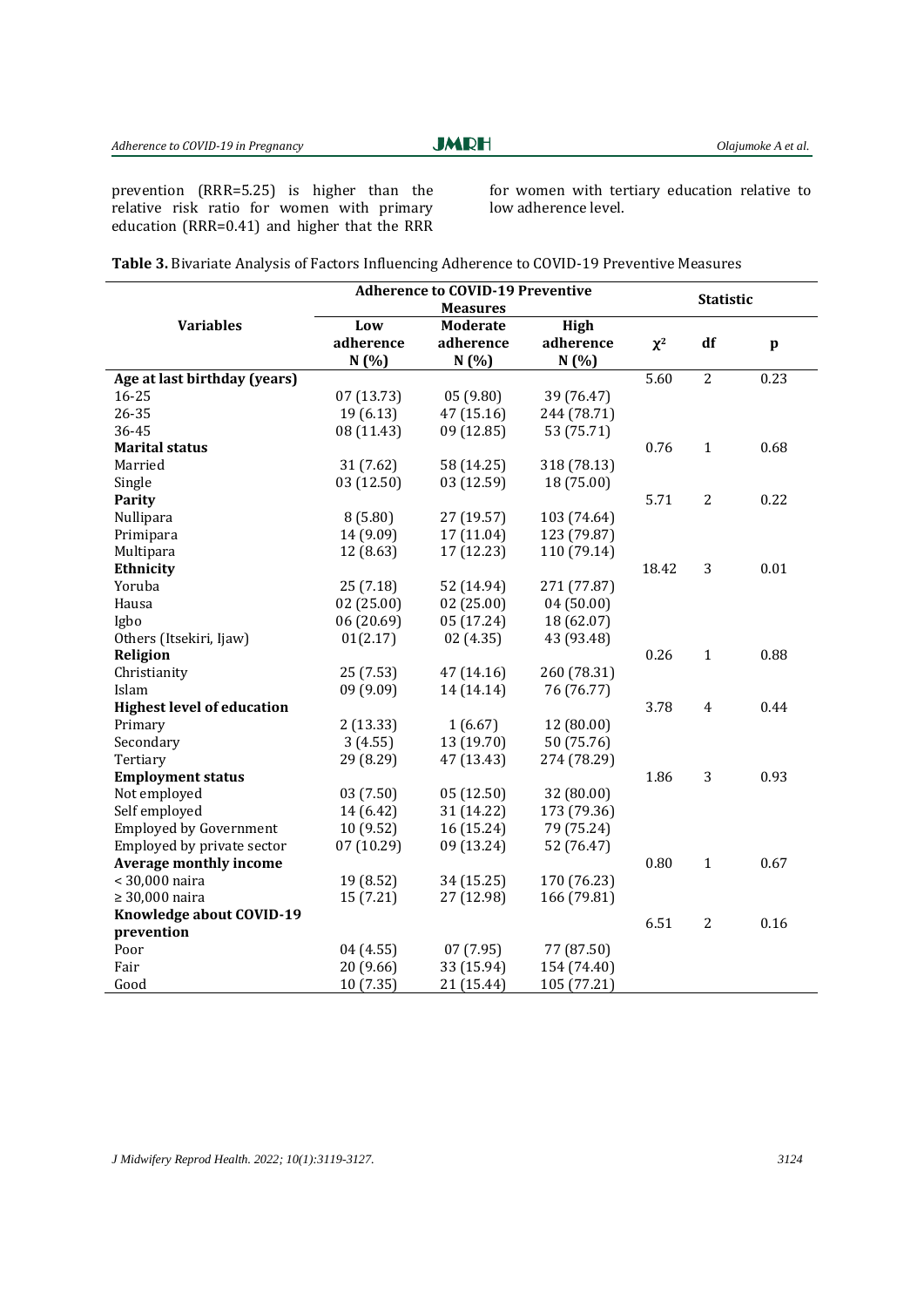prevention (RRR=5.25) is higher than the relative risk ratio for women with primary education (RRR=0.41) and higher that the RRR for women with tertiary education relative to low adherence level.

|                                   | <b>Adherence to COVID-19 Preventive</b> |            |             |          | <b>Statistic</b> |              |  |  |
|-----------------------------------|-----------------------------------------|------------|-------------|----------|------------------|--------------|--|--|
|                                   | <b>Measures</b>                         |            |             |          |                  |              |  |  |
| <b>Variables</b>                  | Low                                     | Moderate   | High        |          |                  |              |  |  |
|                                   | adherence                               | adherence  | adherence   | $\chi^2$ | df               | $\mathbf{p}$ |  |  |
|                                   | N(%)                                    | N(%)       | N(%)        |          |                  |              |  |  |
| Age at last birthday (years)      |                                         |            |             | 5.60     | $\overline{2}$   | 0.23         |  |  |
| $16 - 25$                         | 07(13.73)                               | 05(9.80)   | 39 (76.47)  |          |                  |              |  |  |
| 26-35                             | 19(6.13)                                | 47 (15.16) | 244 (78.71) |          |                  |              |  |  |
| 36-45                             | 08 (11.43)                              | 09 (12.85) | 53 (75.71)  |          |                  |              |  |  |
| <b>Marital status</b>             |                                         |            |             | 0.76     | $\mathbf{1}$     | 0.68         |  |  |
| Married                           | 31(7.62)                                | 58 (14.25) | 318 (78.13) |          |                  |              |  |  |
| Single                            | 03 (12.50)                              | 03 (12.59) | 18 (75.00)  |          |                  |              |  |  |
| Parity                            |                                         |            |             | 5.71     | $\overline{2}$   | 0.22         |  |  |
| Nullipara                         | 8(5.80)                                 | 27 (19.57) | 103 (74.64) |          |                  |              |  |  |
| Primipara                         | 14 (9.09)                               | 17 (11.04) | 123 (79.87) |          |                  |              |  |  |
| Multipara                         | 12 (8.63)                               | 17 (12.23) | 110 (79.14) |          |                  |              |  |  |
| Ethnicity                         |                                         |            |             | 18.42    | 3                | 0.01         |  |  |
| Yoruba                            | 25(7.18)                                | 52 (14.94) | 271 (77.87) |          |                  |              |  |  |
| Hausa                             | 02(25.00)                               | 02(25.00)  | 04(50.00)   |          |                  |              |  |  |
| Igbo                              | 06(20.69)                               | 05 (17.24) | 18 (62.07)  |          |                  |              |  |  |
| Others (Itsekiri, Ijaw)           | 01(2.17)                                | 02(4.35)   | 43 (93.48)  |          |                  |              |  |  |
| Religion                          |                                         |            |             | 0.26     | $\mathbf{1}$     | 0.88         |  |  |
| Christianity                      | 25(7.53)                                | 47 (14.16) | 260 (78.31) |          |                  |              |  |  |
| Islam                             | 09 (9.09)                               | 14 (14.14) | 76 (76.77)  |          |                  |              |  |  |
| <b>Highest level of education</b> |                                         |            |             | 3.78     | $\overline{4}$   | 0.44         |  |  |
| Primary                           | 2(13.33)                                | 1(6.67)    | 12 (80.00)  |          |                  |              |  |  |
| Secondary                         | 3(4.55)                                 | 13 (19.70) | 50 (75.76)  |          |                  |              |  |  |
| Tertiary                          | 29 (8.29)                               | 47 (13.43) | 274 (78.29) |          |                  |              |  |  |
| <b>Employment status</b>          |                                         |            |             | 1.86     | 3                | 0.93         |  |  |
| Not employed                      | 03(7.50)                                | 05(12.50)  | 32 (80.00)  |          |                  |              |  |  |
| Self employed                     | 14 (6.42)                               | 31 (14.22) | 173 (79.36) |          |                  |              |  |  |
| <b>Employed by Government</b>     | 10 (9.52)                               | 16 (15.24) | 79 (75.24)  |          |                  |              |  |  |
| Employed by private sector        | 07(10.29)                               | 09 (13.24) | 52 (76.47)  |          |                  |              |  |  |
| <b>Average monthly income</b>     |                                         |            |             | 0.80     | $\mathbf{1}$     | 0.67         |  |  |
| < 30,000 naira                    | 19 (8.52)                               | 34 (15.25) | 170 (76.23) |          |                  |              |  |  |
| $\geq 30,000$ naira               | 15 (7.21)                               | 27 (12.98) | 166 (79.81) |          |                  |              |  |  |
| Knowledge about COVID-19          |                                         |            |             | 6.51     | 2                | 0.16         |  |  |
| prevention                        |                                         |            |             |          |                  |              |  |  |
| Poor                              | 04 (4.55)                               | 07(7.95)   | 77 (87.50)  |          |                  |              |  |  |
| Fair                              | 20 (9.66)                               | 33 (15.94) | 154 (74.40) |          |                  |              |  |  |
| Good                              | 10(7.35)                                | 21 (15.44) | 105 (77.21) |          |                  |              |  |  |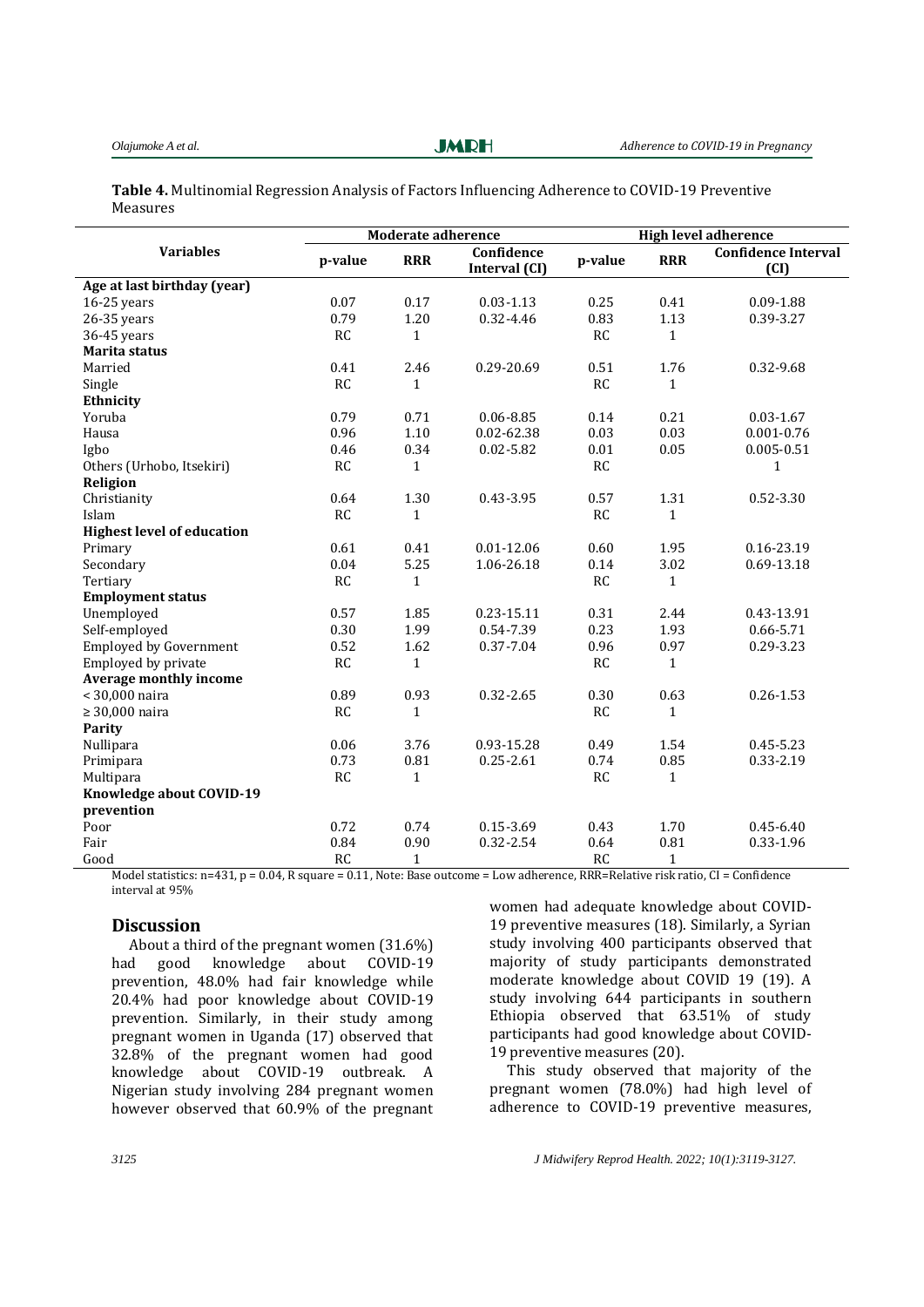### **Table 4.** Multinomial Regression Analysis of Factors Influencing Adherence to COVID-19 Preventive Measures

|                                   | Moderate adherence |              |                             | <b>High level adherence</b> |              |                                    |
|-----------------------------------|--------------------|--------------|-----------------------------|-----------------------------|--------------|------------------------------------|
| <b>Variables</b>                  | p-value            | <b>RRR</b>   | Confidence<br>Interval (CI) | p-value                     | <b>RRR</b>   | <b>Confidence Interval</b><br>(CI) |
| Age at last birthday (year)       |                    |              |                             |                             |              |                                    |
| $16-25$ years                     | 0.07               | 0.17         | $0.03 - 1.13$               | 0.25                        | 0.41         | 0.09-1.88                          |
| $26-35$ years                     | 0.79               | 1.20         | 0.32-4.46                   | 0.83                        | 1.13         | 0.39-3.27                          |
| 36-45 years                       | <b>RC</b>          | $\mathbf{1}$ |                             | <b>RC</b>                   | $\mathbf{1}$ |                                    |
| Marita status                     |                    |              |                             |                             |              |                                    |
| Married                           | 0.41               | 2.46         | 0.29-20.69                  | 0.51                        | 1.76         | 0.32-9.68                          |
| Single                            | <b>RC</b>          | $\mathbf{1}$ |                             | RC                          | $\mathbf{1}$ |                                    |
| Ethnicity                         |                    |              |                             |                             |              |                                    |
| Yoruba                            | 0.79               | 0.71         | $0.06 - 8.85$               | 0.14                        | 0.21         | $0.03 - 1.67$                      |
| Hausa                             | 0.96               | 1.10         | $0.02 - 62.38$              | 0.03                        | 0.03         | $0.001 - 0.76$                     |
| Igbo                              | 0.46               | 0.34         | $0.02 - 5.82$               | 0.01                        | 0.05         | $0.005 - 0.51$                     |
| Others (Urhobo, Itsekiri)         | <b>RC</b>          | $\mathbf{1}$ |                             | RC                          |              | 1                                  |
| Religion                          |                    |              |                             |                             |              |                                    |
| Christianity                      | 0.64               | 1.30         | 0.43-3.95                   | 0.57                        | 1.31         | 0.52-3.30                          |
| Islam                             | <b>RC</b>          | $\mathbf{1}$ |                             | <b>RC</b>                   | $\mathbf{1}$ |                                    |
| <b>Highest level of education</b> |                    |              |                             |                             |              |                                    |
| Primary                           | 0.61               | 0.41         | $0.01 - 12.06$              | 0.60                        | 1.95         | 0.16-23.19                         |
| Secondary                         | 0.04               | 5.25         | 1.06-26.18                  | 0.14                        | 3.02         | 0.69-13.18                         |
| Tertiary                          | <b>RC</b>          | 1            |                             | <b>RC</b>                   | $\mathbf{1}$ |                                    |
| <b>Employment status</b>          |                    |              |                             |                             |              |                                    |
| Unemployed                        | 0.57               | 1.85         | 0.23-15.11                  | 0.31                        | 2.44         | 0.43-13.91                         |
| Self-employed                     | 0.30               | 1.99         | 0.54-7.39                   | 0.23                        | 1.93         | 0.66-5.71                          |
| <b>Employed by Government</b>     | 0.52               | 1.62         | 0.37-7.04                   | 0.96                        | 0.97         | 0.29-3.23                          |
| Employed by private               | <b>RC</b>          | $\mathbf{1}$ |                             | RC                          | $\mathbf{1}$ |                                    |
| Average monthly income            |                    |              |                             |                             |              |                                    |
| < 30,000 naira                    | 0.89               | 0.93         | 0.32-2.65                   | 0.30                        | 0.63         | $0.26 - 1.53$                      |
| $\geq 30,000$ naira               | <b>RC</b>          | $\mathbf{1}$ |                             | RC                          | $\mathbf{1}$ |                                    |
| Parity                            |                    |              |                             |                             |              |                                    |
| Nullipara                         | 0.06               | 3.76         | 0.93-15.28                  | 0.49                        | 1.54         | 0.45-5.23                          |
| Primipara                         | 0.73               | $\rm 0.81$   | $0.25 - 2.61$               | 0.74                        | 0.85         | $0.33 - 2.19$                      |
| Multipara                         | <b>RC</b>          | $\mathbf{1}$ |                             | <b>RC</b>                   | $\mathbf{1}$ |                                    |
| Knowledge about COVID-19          |                    |              |                             |                             |              |                                    |
| prevention                        |                    |              |                             |                             |              |                                    |
| Poor                              | 0.72               | 0.74         | 0.15-3.69                   | 0.43                        | 1.70         | $0.45 - 6.40$                      |
| Fair                              | 0.84               | 0.90         | 0.32-2.54                   | 0.64                        | 0.81         | 0.33-1.96                          |
| Good                              | <b>RC</b>          | $\mathbf{1}$ |                             | RC                          | $\mathbf{1}$ |                                    |

Model statistics: n=431, p = 0.04, R square = 0.11, Note: Base outcome = Low adherence, RRR=Relative risk ratio, CI = Confidence interval at 95%

#### **Discussion**

About a third of the pregnant women (31.6%)<br>d good knowledge about COVID-19 had good knowledge about COVID-19 prevention, 48.0% had fair knowledge while 20.4% had poor knowledge about COVID-19 prevention. Similarly, in their study among pregnant women in Uganda (17) observed that 32.8% of the pregnant women had good knowledge about COVID-19 outbreak. A Nigerian study involving 284 pregnant women however observed that 60.9% of the pregnant

women had adequate knowledge about COVID-19 preventive measures (18). Similarly, a Syrian study involving 400 participants observed that majority of study participants demonstrated moderate knowledge about COVID 19 (19). A study involving 644 participants in southern Ethiopia observed that 63.51% of study participants had good knowledge about COVID-19 preventive measures (20).

This study observed that majority of the pregnant women (78.0%) had high level of adherence to COVID-19 preventive measures,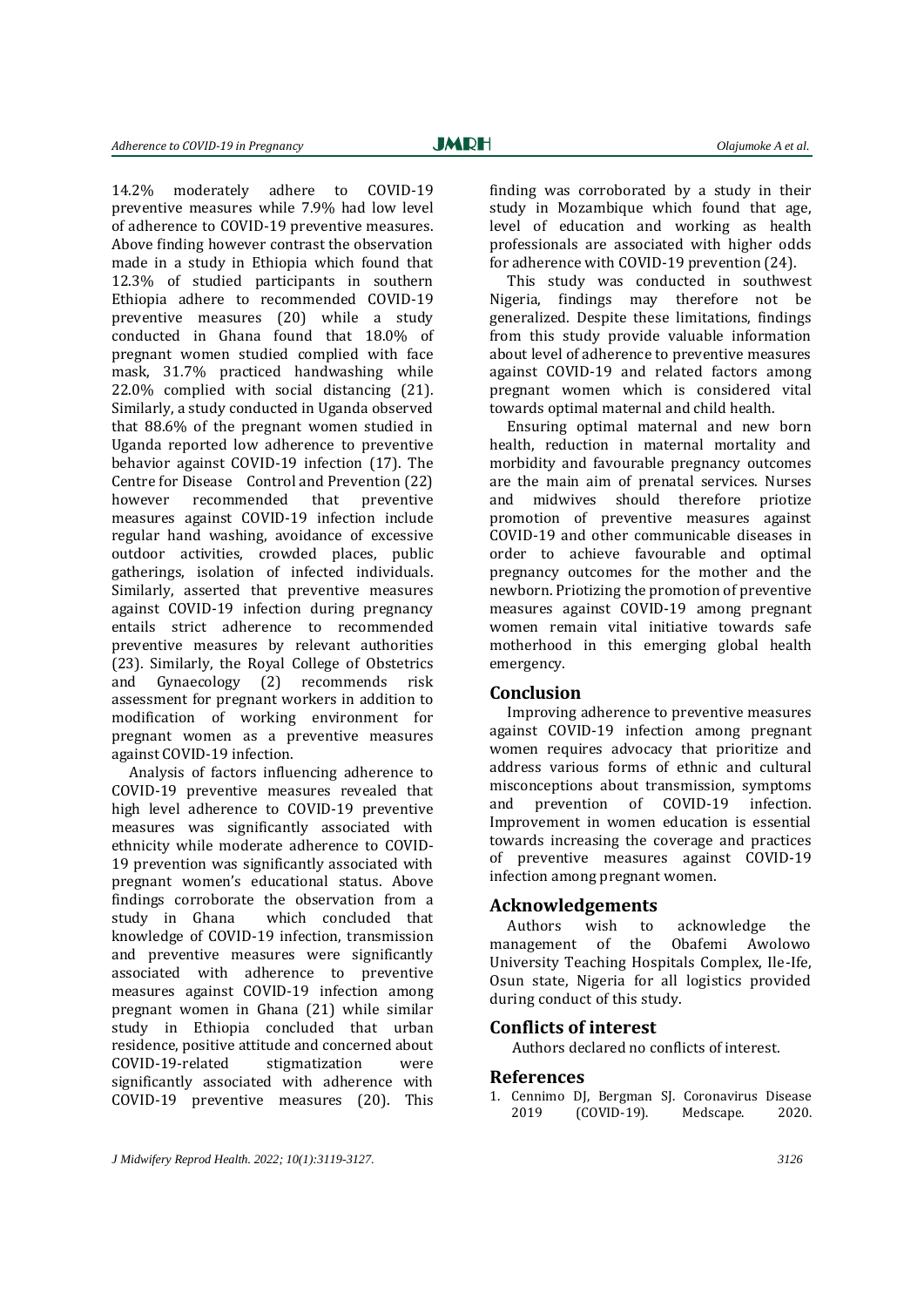14.2% moderately adhere to COVID-19 preventive measures while 7.9% had low level of adherence to COVID-19 preventive measures. Above finding however contrast the observation made in a study in Ethiopia which found that 12.3% of studied participants in southern Ethiopia adhere to recommended COVID-19 preventive measures (20) while a study conducted in Ghana found that 18.0% of pregnant women studied complied with face mask, 31.7% practiced handwashing while 22.0% complied with social distancing (21). Similarly, a study conducted in Uganda observed that 88.6% of the pregnant women studied in Uganda reported low adherence to preventive behavior against COVID-19 infection (17). The Centre for Disease Control and Prevention (22) however recommended that preventive measures against COVID-19 infection include regular hand washing, avoidance of excessive outdoor activities, crowded places, public gatherings, isolation of infected individuals. Similarly, asserted that preventive measures against COVID-19 infection during pregnancy entails strict adherence to recommended preventive measures by relevant authorities (23). Similarly, the Royal College of Obstetrics and Gynaecology (2) recommends risk assessment for pregnant workers in addition to modification of working environment for pregnant women as a preventive measures against COVID-19 infection.

Analysis of factors influencing adherence to COVID-19 preventive measures revealed that high level adherence to COVID-19 preventive measures was significantly associated with ethnicity while moderate adherence to COVID-19 prevention was significantly associated with pregnant women's educational status. Above findings corroborate the observation from a study in Ghana which concluded that knowledge of COVID-19 infection, transmission and preventive measures were significantly associated with adherence to preventive measures against COVID-19 infection among pregnant women in Ghana (21) while similar study in Ethiopia concluded that urban residence, positive attitude and concerned about COVID-19-related stigmatization were significantly associated with adherence with COVID-19 preventive measures (20). This

finding was corroborated by a study in their study in Mozambique which found that age, level of education and working as health professionals are associated with higher odds for adherence with COVID-19 prevention (24).

This study was conducted in southwest Nigeria, findings may therefore not be generalized. Despite these limitations, findings from this study provide valuable information about level of adherence to preventive measures against COVID-19 and related factors among pregnant women which is considered vital towards optimal maternal and child health.

Ensuring optimal maternal and new born health, reduction in maternal mortality and morbidity and favourable pregnancy outcomes are the main aim of prenatal services. Nurses and midwives should therefore priotize promotion of preventive measures against COVID-19 and other communicable diseases in order to achieve favourable and optimal pregnancy outcomes for the mother and the newborn. Priotizing the promotion of preventive measures against COVID-19 among pregnant women remain vital initiative towards safe motherhood in this emerging global health emergency.

#### **Conclusion**

Improving adherence to preventive measures against COVID-19 infection among pregnant women requires advocacy that prioritize and address various forms of ethnic and cultural misconceptions about transmission, symptoms and prevention of COVID-19 infection. Improvement in women education is essential towards increasing the coverage and practices of preventive measures against COVID-19 infection among pregnant women.

## **Acknowledgements**

Authors wish to acknowledge the management of the Obafemi Awolowo University Teaching Hospitals Complex, Ile-Ife, Osun state, Nigeria for all logistics provided during conduct of this study.

#### **Conflicts of interest**

Authors declared no conflicts of interest.

## **References**

1. Cennimo DJ, Bergman SJ. Coronavirus Disease<br>2019 (COVID-19). Medscape. 2020.  $(COVID-19)$ . Medscape. 2020.